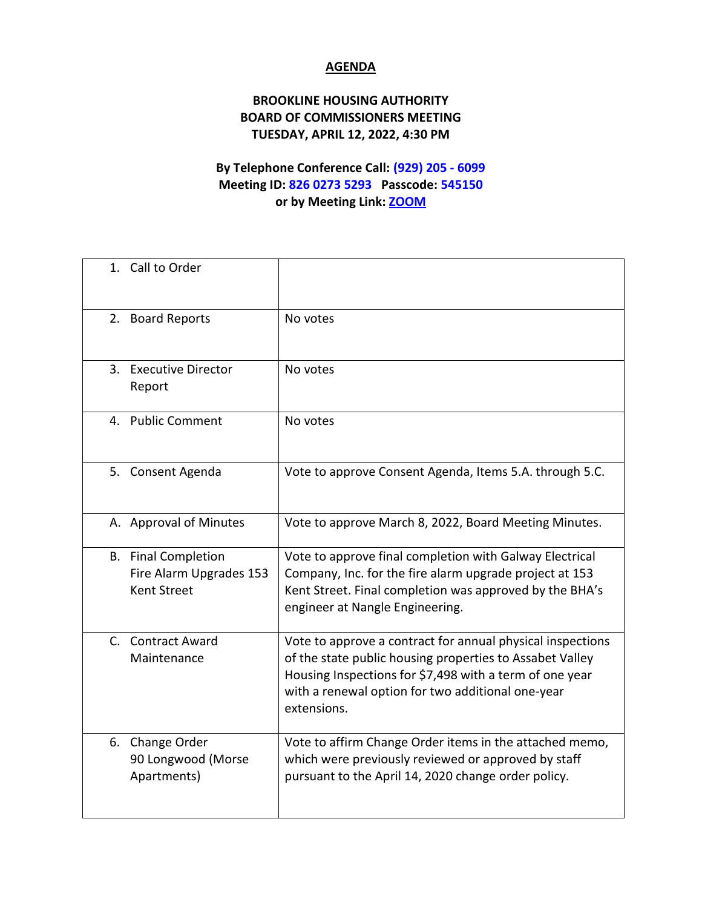## **AGENDA**

## **BROOKLINE HOUSING AUTHORITY BOARD OF COMMISSIONERS MEETING TUESDAY, APRIL 12, 2022, 4:30 PM**

## **By Telephone Conference Call: (929) 205 - 6099 Meeting ID: 826 0273 5293 Passcode: 545150 or by Meeting Link: [ZOOM](https://us02web.zoom.us/j/82602735293?pwd=dGphem13K25WUCtZWWJ4SGNKR2RxZz09)**

| 1. Call to Order                                                            |                                                                                                                                                                                                                                                       |
|-----------------------------------------------------------------------------|-------------------------------------------------------------------------------------------------------------------------------------------------------------------------------------------------------------------------------------------------------|
| 2. Board Reports                                                            | No votes                                                                                                                                                                                                                                              |
| 3. Executive Director<br>Report                                             | No votes                                                                                                                                                                                                                                              |
| 4. Public Comment                                                           | No votes                                                                                                                                                                                                                                              |
| 5. Consent Agenda                                                           | Vote to approve Consent Agenda, Items 5.A. through 5.C.                                                                                                                                                                                               |
| A. Approval of Minutes                                                      | Vote to approve March 8, 2022, Board Meeting Minutes.                                                                                                                                                                                                 |
| <b>B.</b> Final Completion<br>Fire Alarm Upgrades 153<br><b>Kent Street</b> | Vote to approve final completion with Galway Electrical<br>Company, Inc. for the fire alarm upgrade project at 153<br>Kent Street. Final completion was approved by the BHA's<br>engineer at Nangle Engineering.                                      |
| C. Contract Award<br>Maintenance                                            | Vote to approve a contract for annual physical inspections<br>of the state public housing properties to Assabet Valley<br>Housing Inspections for \$7,498 with a term of one year<br>with a renewal option for two additional one-year<br>extensions. |
| 6. Change Order<br>90 Longwood (Morse<br>Apartments)                        | Vote to affirm Change Order items in the attached memo,<br>which were previously reviewed or approved by staff<br>pursuant to the April 14, 2020 change order policy.                                                                                 |